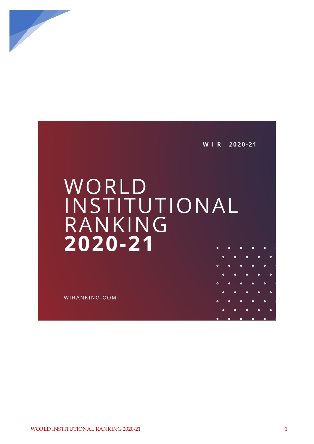

W I R 2020-21

## WORLD<br>INSTITUTIONAL RANKING 2020-21

WIRANKING.COM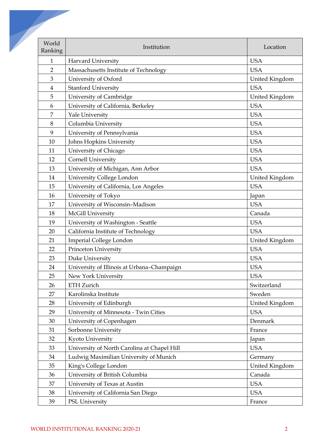| World<br>Ranking | Institution                                 | Location       |
|------------------|---------------------------------------------|----------------|
| $\mathbf{1}$     | Harvard University                          | <b>USA</b>     |
| $\overline{2}$   | Massachusetts Institute of Technology       | <b>USA</b>     |
| $\mathfrak{Z}$   | University of Oxford                        | United Kingdom |
| 4                | <b>Stanford University</b>                  | <b>USA</b>     |
| 5                | University of Cambridge                     | United Kingdom |
| 6                | University of California, Berkeley          | <b>USA</b>     |
| 7                | Yale University                             | <b>USA</b>     |
| 8                | Columbia University                         | <b>USA</b>     |
| 9                | University of Pennsylvania                  | <b>USA</b>     |
| 10               | Johns Hopkins University                    | <b>USA</b>     |
| 11               | University of Chicago                       | <b>USA</b>     |
| 12               | Cornell University                          | <b>USA</b>     |
| 13               | University of Michigan, Ann Arbor           | <b>USA</b>     |
| 14               | University College London                   | United Kingdom |
| 15               | University of California, Los Angeles       | <b>USA</b>     |
| 16               | University of Tokyo                         | Japan          |
| 17               | University of Wisconsin-Madison             | <b>USA</b>     |
| 18               | McGill University                           | Canada         |
| 19               | University of Washington - Seattle          | <b>USA</b>     |
| 20               | California Institute of Technology          | <b>USA</b>     |
| 21               | <b>Imperial College London</b>              | United Kingdom |
| 22               | Princeton University                        | <b>USA</b>     |
| 23               | Duke University                             | <b>USA</b>     |
| 24               | University of Illinois at Urbana-Champaign  | <b>USA</b>     |
| 25               | New York University                         | <b>USA</b>     |
| 26               | <b>ETH Zurich</b>                           | Switzerland    |
| 27               | Karolinska Institute                        | Sweden         |
| 28               | University of Edinburgh                     | United Kingdom |
| 29               | University of Minnesota - Twin Cities       | <b>USA</b>     |
| 30               | University of Copenhagen                    | Denmark        |
| 31               | Sorbonne University                         | France         |
| 32               | Kyoto University                            | Japan          |
| 33               | University of North Carolina at Chapel Hill | <b>USA</b>     |
| 34               | Ludwig Maximilian University of Munich      | Germany        |
| 35               | King's College London                       | United Kingdom |
| 36               | University of British Columbia              | Canada         |
| 37               | University of Texas at Austin               | <b>USA</b>     |
| 38               | University of California San Diego          | <b>USA</b>     |
| 39               | PSL University                              | France         |
|                  |                                             |                |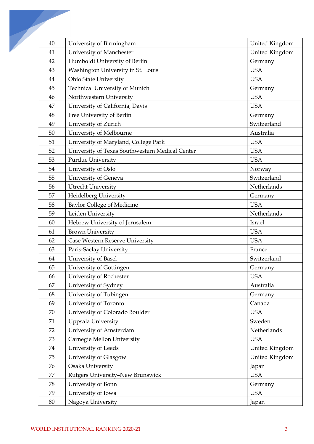| 40 | University of Birmingham                        | United Kingdom |
|----|-------------------------------------------------|----------------|
| 41 | University of Manchester                        | United Kingdom |
| 42 | Humboldt University of Berlin                   | Germany        |
| 43 | Washington University in St. Louis              | <b>USA</b>     |
| 44 | Ohio State University                           | <b>USA</b>     |
| 45 | <b>Technical University of Munich</b>           | Germany        |
| 46 | Northwestern University                         | <b>USA</b>     |
| 47 | University of California, Davis                 | <b>USA</b>     |
| 48 | Free University of Berlin                       | Germany        |
| 49 | University of Zurich                            | Switzerland    |
| 50 | University of Melbourne                         | Australia      |
| 51 | University of Maryland, College Park            | <b>USA</b>     |
| 52 | University of Texas Southwestern Medical Center | <b>USA</b>     |
| 53 | Purdue University                               | <b>USA</b>     |
| 54 | University of Oslo                              | Norway         |
| 55 | University of Geneva                            | Switzerland    |
| 56 | Utrecht University                              | Netherlands    |
| 57 | Heidelberg University                           | Germany        |
| 58 | <b>Baylor College of Medicine</b>               | <b>USA</b>     |
| 59 | Leiden University                               | Netherlands    |
| 60 | Hebrew University of Jerusalem                  | Israel         |
| 61 | <b>Brown University</b>                         | <b>USA</b>     |
| 62 | Case Western Reserve University                 | <b>USA</b>     |
| 63 | Paris-Saclay University                         | France         |
| 64 | University of Basel                             | Switzerland    |
| 65 | University of Göttingen                         | Germany        |
| 66 | University of Rochester                         | <b>USA</b>     |
| 67 | University of Sydney                            | Australia      |
| 68 | University of Tübingen                          | Germany        |
| 69 | University of Toronto                           | Canada         |
| 70 | University of Colorado Boulder                  | <b>USA</b>     |
| 71 | Uppsala University                              | Sweden         |
| 72 | University of Amsterdam                         | Netherlands    |
| 73 | Carnegie Mellon University                      | <b>USA</b>     |
| 74 | University of Leeds                             | United Kingdom |
| 75 | University of Glasgow                           | United Kingdom |
| 76 | Osaka University                                | Japan          |
| 77 | Rutgers University-New Brunswick                | <b>USA</b>     |
| 78 | University of Bonn                              | Germany        |
| 79 | University of Iowa                              | <b>USA</b>     |
| 80 | Nagoya University                               | Japan          |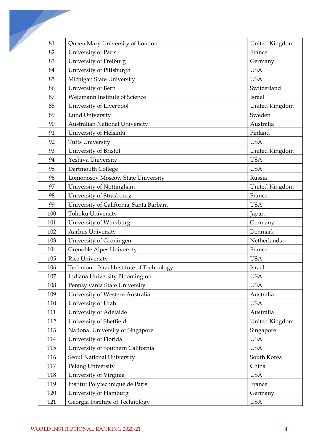| 81  | Queen Mary University of London           | United Kingdom |
|-----|-------------------------------------------|----------------|
| 82  | University of Paris                       | France         |
| 83  | University of Freiburg                    | Germany        |
| 84  | University of Pittsburgh                  | <b>USA</b>     |
| 85  | Michigan State University                 | <b>USA</b>     |
| 86  | University of Bern                        | Switzerland    |
| 87  | Weizmann Institute of Science             | Israel         |
| 88  | University of Liverpool                   | United Kingdom |
| 89  | <b>Lund University</b>                    | Sweden         |
| 90  | <b>Australian National University</b>     | Australia      |
| 91  | University of Helsinki                    | Finland        |
| 92  | <b>Tufts University</b>                   | <b>USA</b>     |
| 93  | University of Bristol                     | United Kingdom |
| 94  | Yeshiva University                        | <b>USA</b>     |
| 95  | Dartmouth College                         | <b>USA</b>     |
| 96  | Lomonosov Moscow State University         | Russia         |
| 97  | University of Nottingham                  | United Kingdom |
| 98  | University of Strasbourg                  | France         |
| 99  | University of California, Santa Barbara   | <b>USA</b>     |
| 100 | Tohoku University                         | Japan          |
| 101 | University of Würzburg                    | Germany        |
| 102 | Aarhus University                         | Denmark        |
| 103 | University of Groningen                   | Netherlands    |
| 104 | Grenoble Alpes University                 | France         |
| 105 | <b>Rice University</b>                    | <b>USA</b>     |
| 106 | Technion - Israel Institute of Technology | Israel         |
| 107 | Indiana University Bloomington            | <b>USA</b>     |
| 108 | Pennsylvania State University             | <b>USA</b>     |
| 109 | University of Western Australia           | Australia      |
| 110 | University of Utah                        | <b>USA</b>     |
| 111 | University of Adelaide                    | Australia      |
| 112 | University of Sheffield                   | United Kingdom |
| 113 | National University of Singapore          | Singapore      |
| 114 | University of Florida                     | <b>USA</b>     |
| 115 | University of Southern California         | <b>USA</b>     |
| 116 | Seoul National University                 | South Korea    |
| 117 | Peking University                         | China          |
| 118 | University of Virginia                    | <b>USA</b>     |
| 119 | Institut Polytechnique de Paris           | France         |
| 120 | University of Hamburg                     | Germany        |
|     |                                           |                |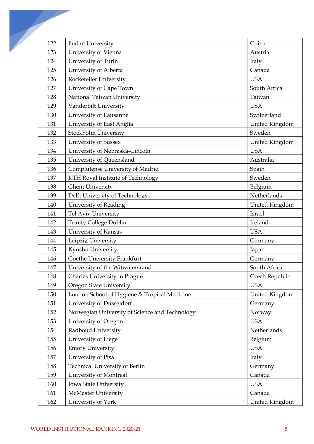| 122 | <b>Fudan University</b>                        | China          |
|-----|------------------------------------------------|----------------|
| 123 | University of Vienna                           | Austria        |
| 124 | University of Turin                            | Italy          |
| 125 | University of Alberta                          | Canada         |
| 126 | Rockefeller University                         | <b>USA</b>     |
| 127 | University of Cape Town                        | South Africa   |
| 128 | National Taiwan University                     | Taiwan         |
| 129 | Vanderbilt University                          | <b>USA</b>     |
| 130 | University of Lausanne                         | Switzerland    |
| 131 | University of East Anglia                      | United Kingdom |
| 132 | Stockholm University                           | Sweden         |
| 133 | University of Sussex                           | United Kingdom |
| 134 | University of Nebraska-Lincoln                 | <b>USA</b>     |
| 135 | University of Queensland                       | Australia      |
| 136 | Complutense University of Madrid               | Spain          |
| 137 | KTH Royal Institute of Technology              | Sweden         |
| 138 | <b>Ghent University</b>                        | Belgium        |
| 139 | Delft University of Technology                 | Netherlands    |
| 140 | University of Reading                          | United Kingdom |
| 141 | Tel Aviv University                            | Israel         |
| 142 | Trinity College Dublin                         | Ireland        |
| 143 | University of Kansas                           | <b>USA</b>     |
| 144 | Leipzig University                             | Germany        |
| 145 | Kyushu University                              | Japan          |
| 146 | Goethe University Frankfurt                    | Germany        |
| 147 | University of the Witwatersrand                | South Africa   |
| 148 | Charles University in Prague                   | Czech Republic |
| 149 | Oregon State University                        | <b>USA</b>     |
| 150 | London School of Hygiene & Tropical Medicine   | United Kingdom |
| 151 | University of Düsseldorf                       | Germany        |
| 152 | Norwegian University of Science and Technology | Norway         |
| 153 | University of Oregon                           | <b>USA</b>     |
| 154 | Radboud University                             | Netherlands    |
| 155 | University of Liège                            | Belgium        |
| 156 | <b>Emory University</b>                        | <b>USA</b>     |
| 157 | University of Pisa                             | Italy          |
| 158 | Technical University of Berlin                 | Germany        |
| 159 | University of Montreal                         | Canada         |
| 160 | Iowa State University                          | <b>USA</b>     |
| 161 | <b>McMaster University</b>                     | Canada         |
| 162 | University of York                             | United Kingdom |
|     |                                                |                |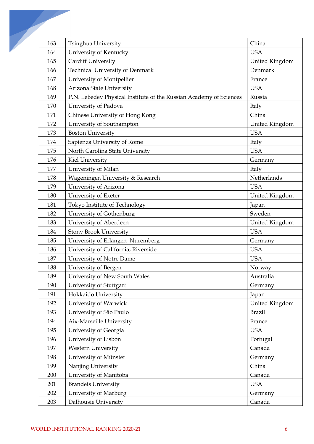| 163 | Tsinghua University                                                | China          |
|-----|--------------------------------------------------------------------|----------------|
| 164 | University of Kentucky                                             | <b>USA</b>     |
| 165 | Cardiff University                                                 | United Kingdom |
| 166 | <b>Technical University of Denmark</b>                             | Denmark        |
| 167 | University of Montpellier                                          | France         |
| 168 | Arizona State University                                           | <b>USA</b>     |
| 169 | P.N. Lebedev Physical Institute of the Russian Academy of Sciences | Russia         |
| 170 | University of Padova                                               | Italy          |
| 171 | Chinese University of Hong Kong                                    | China          |
| 172 | University of Southampton                                          | United Kingdom |
| 173 | <b>Boston University</b>                                           | <b>USA</b>     |
| 174 | Sapienza University of Rome                                        | Italy          |
| 175 | North Carolina State University                                    | <b>USA</b>     |
| 176 | Kiel University                                                    | Germany        |
| 177 | University of Milan                                                | Italy          |
| 178 | Wageningen University & Research                                   | Netherlands    |
| 179 | University of Arizona                                              | <b>USA</b>     |
| 180 | University of Exeter                                               | United Kingdom |
| 181 | Tokyo Institute of Technology                                      | Japan          |
| 182 | University of Gothenburg                                           | Sweden         |
| 183 | University of Aberdeen                                             | United Kingdom |
| 184 | <b>Stony Brook University</b>                                      | <b>USA</b>     |
| 185 | University of Erlangen-Nuremberg                                   | Germany        |
| 186 | University of California, Riverside                                | <b>USA</b>     |
| 187 | University of Notre Dame                                           | <b>USA</b>     |
| 188 | University of Bergen                                               | Norway         |
| 189 | University of New South Wales                                      | Australia      |
| 190 | University of Stuttgart                                            | Germany        |
| 191 | Hokkaido University                                                | Japan          |
| 192 | University of Warwick                                              | United Kingdom |
| 193 | University of São Paulo                                            | <b>Brazil</b>  |
| 194 | Aix-Marseille University                                           | France         |
| 195 | University of Georgia                                              | <b>USA</b>     |
| 196 | University of Lisbon                                               | Portugal       |
| 197 | <b>Western University</b>                                          | Canada         |
| 198 | University of Münster                                              | Germany        |
| 199 | Nanjing University                                                 | China          |
| 200 | University of Manitoba                                             | Canada         |
| 201 | <b>Brandeis University</b>                                         | <b>USA</b>     |
| 202 | University of Marburg                                              | Germany        |
| 203 | Dalhousie University                                               | Canada         |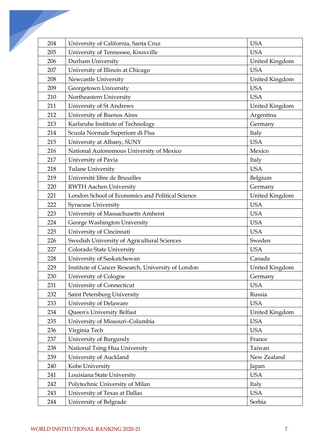| 204 | University of California, Santa Cruz               | <b>USA</b>         |
|-----|----------------------------------------------------|--------------------|
| 205 | University of Tennessee, Knoxville                 | <b>USA</b>         |
| 206 | Durham University                                  | United Kingdom     |
| 207 | University of Illinois at Chicago                  | <b>USA</b>         |
| 208 | Newcastle University                               | United Kingdom     |
| 209 | Georgetown University                              | <b>USA</b>         |
| 210 | Northeastern University                            | <b>USA</b>         |
| 211 | University of St Andrews                           | United Kingdom     |
| 212 | University of Buenos Aires                         | Argentina          |
| 213 | Karlsruhe Institute of Technology                  | Germany            |
| 214 | Scuola Normale Superiore di Pisa                   | Italy              |
| 215 | University at Albany, SUNY                         | <b>USA</b>         |
| 216 | National Autonomous University of Mexico           | Mexico             |
| 217 | University of Pavia                                | Italy              |
| 218 | <b>Tulane University</b>                           | <b>USA</b>         |
| 219 | Université libre de Bruxelles                      |                    |
| 220 | <b>RWTH Aachen University</b>                      | Belgium<br>Germany |
| 221 | London School of Economics and Political Science   | United Kingdom     |
| 222 | <b>Syracuse University</b>                         | <b>USA</b>         |
| 223 | University of Massachusetts Amherst                | <b>USA</b>         |
| 224 | George Washington University                       | <b>USA</b>         |
| 225 | University of Cincinnati                           | <b>USA</b>         |
| 226 |                                                    | Sweden             |
| 227 | Swedish University of Agricultural Sciences        | <b>USA</b>         |
|     | Colorado State University                          |                    |
| 228 | University of Saskatchewan                         | Canada             |
| 229 | Institute of Cancer Research, University of London | United Kingdom     |
| 230 | University of Cologne                              | Germany            |
| 231 | University of Connecticut                          | <b>USA</b>         |
| 232 | Saint Petersburg University                        | Russia             |
| 233 | University of Delaware                             | <b>USA</b>         |
| 234 | Queen's University Belfast                         | United Kingdom     |
| 235 | University of Missouri-Columbia                    | <b>USA</b>         |
| 236 | Virginia Tech                                      | <b>USA</b>         |
| 237 | University of Burgundy                             | France             |
| 238 | National Tsing Hua University                      | Taiwan             |
| 239 | University of Auckland                             | New Zealand        |
| 240 | Kobe University                                    | Japan              |
| 241 | Louisiana State University                         | <b>USA</b>         |
| 242 | Polytechnic University of Milan                    | Italy              |
| 243 | University of Texas at Dallas                      | <b>USA</b>         |
| 244 | University of Belgrade                             | Serbia             |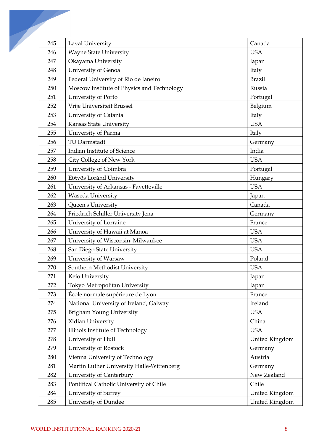| 245 | Laval University                           | Canada         |
|-----|--------------------------------------------|----------------|
| 246 | <b>Wayne State University</b>              | <b>USA</b>     |
| 247 | Okayama University                         | Japan          |
| 248 | University of Genoa                        | Italy          |
| 249 | Federal University of Rio de Janeiro       | <b>Brazil</b>  |
| 250 | Moscow Institute of Physics and Technology | Russia         |
| 251 | University of Porto                        | Portugal       |
| 252 | Vrije Universiteit Brussel                 | Belgium        |
| 253 | University of Catania                      | Italy          |
| 254 | Kansas State University                    | <b>USA</b>     |
| 255 | University of Parma                        | Italy          |
| 256 | TU Darmstadt                               | Germany        |
| 257 | Indian Institute of Science                | India          |
| 258 | City College of New York                   | <b>USA</b>     |
| 259 | University of Coimbra                      | Portugal       |
| 260 | Eötvös Loránd University                   | Hungary        |
| 261 | University of Arkansas - Fayetteville      | <b>USA</b>     |
| 262 | Waseda University                          | Japan          |
| 263 | Queen's University                         | Canada         |
| 264 | Friedrich Schiller University Jena         | Germany        |
| 265 | University of Lorraine                     | France         |
| 266 | University of Hawaii at Manoa              | <b>USA</b>     |
| 267 | University of Wisconsin-Milwaukee          | <b>USA</b>     |
| 268 | San Diego State University                 | <b>USA</b>     |
| 269 | University of Warsaw                       | Poland         |
| 270 | Southern Methodist University              | <b>USA</b>     |
| 271 | Keio University                            | Japan          |
| 272 | Tokyo Metropolitan University              | Japan          |
| 273 | École normale supérieure de Lyon           | France         |
| 274 | National University of Ireland, Galway     | Ireland        |
| 275 | <b>Brigham Young University</b>            | <b>USA</b>     |
| 276 | Xidian University                          | China          |
| 277 | Illinois Institute of Technology           | <b>USA</b>     |
| 278 | University of Hull                         | United Kingdom |
| 279 | University of Rostock                      | Germany        |
| 280 | Vienna University of Technology            | Austria        |
| 281 | Martin Luther University Halle-Wittenberg  | Germany        |
| 282 | University of Canterbury                   | New Zealand    |
| 283 | Pontifical Catholic University of Chile    | Chile          |
| 284 | University of Surrey                       | United Kingdom |
| 285 | University of Dundee                       | United Kingdom |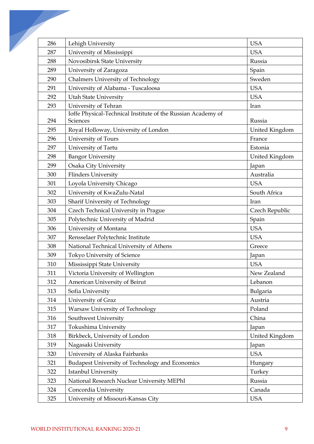| 286 | Lehigh University                                            | <b>USA</b>     |
|-----|--------------------------------------------------------------|----------------|
| 287 | University of Mississippi                                    | <b>USA</b>     |
| 288 | Novosibirsk State University                                 | Russia         |
| 289 | University of Zaragoza                                       | Spain          |
| 290 | Chalmers University of Technology                            | Sweden         |
| 291 | University of Alabama - Tuscaloosa                           | <b>USA</b>     |
| 292 | <b>Utah State University</b>                                 | <b>USA</b>     |
| 293 | University of Tehran                                         | Iran           |
|     | Ioffe Physical-Technical Institute of the Russian Academy of |                |
| 294 | Sciences                                                     | Russia         |
| 295 | Royal Holloway, University of London                         | United Kingdom |
| 296 | University of Tours                                          | France         |
| 297 | University of Tartu                                          | Estonia        |
| 298 | <b>Bangor University</b>                                     | United Kingdom |
| 299 | Osaka City University                                        | Japan          |
| 300 | <b>Flinders University</b>                                   | Australia      |
| 301 | Loyola University Chicago                                    | <b>USA</b>     |
| 302 | University of KwaZulu-Natal                                  | South Africa   |
| 303 | Sharif University of Technology                              | Iran           |
| 304 | Czech Technical University in Prague                         | Czech Republic |
| 305 | Polytechnic University of Madrid                             | Spain          |
| 306 | University of Montana                                        | <b>USA</b>     |
| 307 | Rensselaer Polytechnic Institute                             | <b>USA</b>     |
| 308 | National Technical University of Athens                      | Greece         |
| 309 | Tokyo University of Science                                  | Japan          |
| 310 | Mississippi State University                                 | <b>USA</b>     |
| 311 | Victoria University of Wellington                            | New Zealand    |
| 312 | American University of Beirut                                | Lebanon        |
| 313 | Sofia University                                             | Bulgaria       |
| 314 | University of Graz                                           | Austria        |
| 315 | Warsaw University of Technology                              | Poland         |
| 316 | Southwest University                                         | China          |
| 317 | Tokushima University                                         | Japan          |
| 318 | Birkbeck, University of London                               | United Kingdom |
| 319 | Nagasaki University                                          | Japan          |
| 320 | University of Alaska Fairbanks                               | <b>USA</b>     |
| 321 | Budapest University of Technology and Economics              | Hungary        |
| 322 | Istanbul University                                          | Turkey         |
| 323 | National Research Nuclear University MEPhI                   | Russia         |
| 324 | Concordia University                                         | Canada         |
| 325 | University of Missouri-Kansas City                           | <b>USA</b>     |
|     |                                                              |                |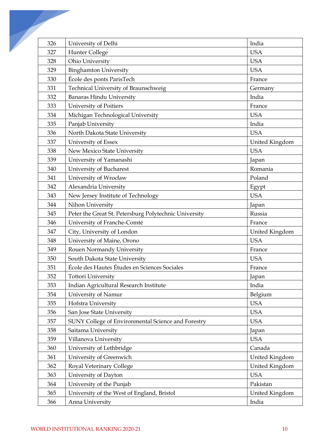| 326 | University of Delhi                                   | India          |
|-----|-------------------------------------------------------|----------------|
| 327 | Hunter College                                        | <b>USA</b>     |
| 328 | Ohio University                                       | <b>USA</b>     |
| 329 | <b>Binghamton University</b>                          | <b>USA</b>     |
| 330 | École des ponts ParisTech                             | France         |
| 331 | Technical University of Braunschweig                  | Germany        |
| 332 | <b>Banaras Hindu University</b>                       | India          |
| 333 | University of Poitiers                                | France         |
| 334 | Michigan Technological University                     | <b>USA</b>     |
| 335 | Panjab University                                     | India          |
| 336 | North Dakota State University                         | <b>USA</b>     |
| 337 | University of Essex                                   | United Kingdom |
| 338 | New Mexico State University                           | <b>USA</b>     |
| 339 | University of Yamanashi                               | Japan          |
| 340 | University of Bucharest                               | Romania        |
| 341 | University of Wrocław                                 | Poland         |
| 342 | Alexandria University                                 | Egypt          |
| 343 | New Jersey Institute of Technology                    | <b>USA</b>     |
| 344 | Nihon University                                      | Japan          |
| 345 | Peter the Great St. Petersburg Polytechnic University | Russia         |
| 346 | University of Franche-Comté                           | France         |
| 347 | City, University of London                            | United Kingdom |
| 348 | University of Maine, Orono                            | <b>USA</b>     |
| 349 | Rouen Normandy University                             | France         |
| 350 | South Dakota State University                         | <b>USA</b>     |
| 351 | École des Hautes Études en Sciences Sociales          | France         |
| 352 | <b>Tottori University</b>                             | Japan          |
| 353 | Indian Agricultural Research Institute                | India          |
| 354 | University of Namur                                   | Belgium        |
| 355 | Hofstra University                                    | <b>USA</b>     |
| 356 | San Jose State University                             | <b>USA</b>     |
| 357 | SUNY College of Environmental Science and Forestry    | <b>USA</b>     |
| 358 | Saitama University                                    | Japan          |
| 359 | Villanova University                                  | <b>USA</b>     |
| 360 | University of Lethbridge                              | Canada         |
| 361 | University of Greenwich                               | United Kingdom |
| 362 | Royal Veterinary College                              | United Kingdom |
| 363 | University of Dayton                                  | <b>USA</b>     |
| 364 | University of the Punjab                              | Pakistan       |
| 365 | University of the West of England, Bristol            | United Kingdom |
| 366 | Anna University                                       | India          |